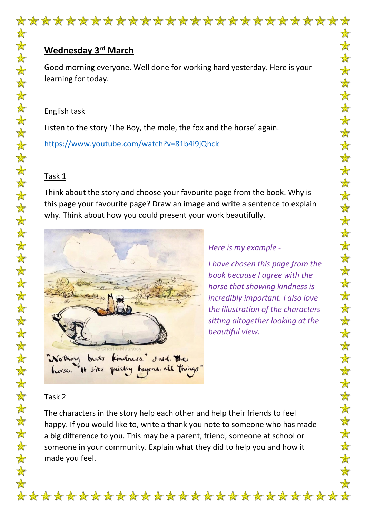

# **Wednesday 3rd March**

Good morning everyone. Well done for working hard yesterday. Here is your learning for today.

## English task

Listen to the story 'The Boy, the mole, the fox and the horse' again.

<https://www.youtube.com/watch?v=81b4i9jQhck>

# Task 1

Think about the story and choose your favourite page from the book. Why is this page your favourite page? Draw an image and write a sentence to explain why. Think about how you could present your work beautifully.



## *Here is my example -*

*I have chosen this page from the book because I agree with the horse that showing kindness is incredibly important. I also love the illustration of the characters sitting altogether looking at the beautiful view.*

 $\color{red} \bigstar$  $\bigstar$ 

 $\bigstar$  $\bigstar$  $\frac{1}{N}$ 

 $\bigstar$  $\bigstar$  $\bigstar$ 

 $\bigstar$  $\frac{1}{N}$ 

 $\frac{1}{N}$ 

女女女女女女

 $\frac{1}{N}$ 

法女

安女

 $\mathbf{\hat{A}}$ 

 $\frac{1}{N}$  $\frac{1}{\sqrt{2}}$ 

 $\bigstar$  $\bigstar$ 

 $\frac{1}{N}$ 

 $\frac{1}{\sqrt{2}}$ 

 $\bigstar$ 

 $\bigstar$ 

 $\bigstar$ 

安女女

 $\color{red} \bigstar$ 

# Task 2

The characters in the story help each other and help their friends to feel happy. If you would like to, write a thank you note to someone who has made a big difference to you. This may be a parent, friend, someone at school or someone in your community. Explain what they did to help you and how it made you feel.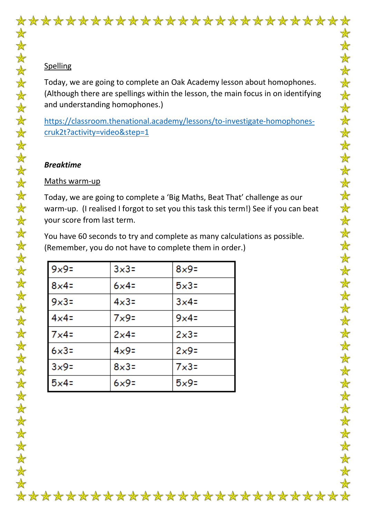

## **Spelling**

Today, we are going to complete an Oak Academy lesson about homophones. (Although there are spellings within the lesson, the main focus in on identifying and understanding homophones.)

[https://classroom.thenational.academy/lessons/to-investigate-homophones](https://classroom.thenational.academy/lessons/to-investigate-homophones-cruk2t?activity=video&step=1)[cruk2t?activity=video&step=1](https://classroom.thenational.academy/lessons/to-investigate-homophones-cruk2t?activity=video&step=1)

## *Breaktime*

## Maths warm-up

Today, we are going to complete a 'Big Maths, Beat That' challenge as our warm-up. (I realised I forgot to set you this task this term!) See if you can beat your score from last term.

You have 60 seconds to try and complete as many calculations as possible. (Remember, you do not have to complete them in order.)

| $9x9=$       | $3x3=$      | $8x9=$         |
|--------------|-------------|----------------|
| $8x4=$       | $6x4=$      | $5x3=$         |
| $9x3=$       | $4\times3=$ | $3x4=$         |
| $4\times 4=$ | $7\times9=$ | $9x4=$         |
| $7x4=$       | $2x4=$      | $2 \times 3 =$ |
| $6x3=$       | $4\times9=$ | $2x9=$         |
| 3x9          | $8\times3=$ | $7\times3=$    |
| $5x4=$       | $6x9=$      | $5x9=$         |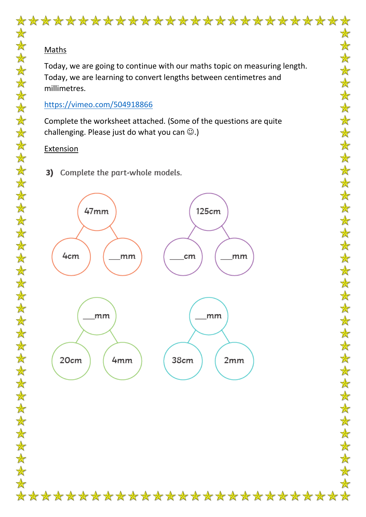# \*\*\*\*\*\*\*\*\*\*\*\*\*\*\*\*\*\*\*\*\*\*\*\*\*\*\*

## Maths

Today, we are going to continue with our maths topic on measuring length. Today, we are learning to convert lengths between centimetres and millimetres.

## <https://vimeo.com/504918866>

Complete the worksheet attached. (Some of the questions are quite challenging. Please just do what you can  $\odot$ .)

# **Extension**

Complete the part-whole models. 3)

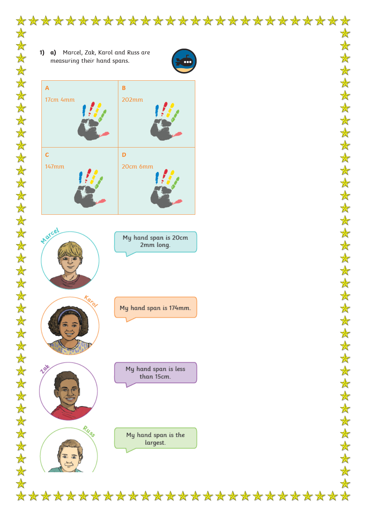

 $\frac{1}{\sqrt{2}}$ 

女女女女女女女女女女女女女女女女女女女女女女女女女女女女女女女女女女